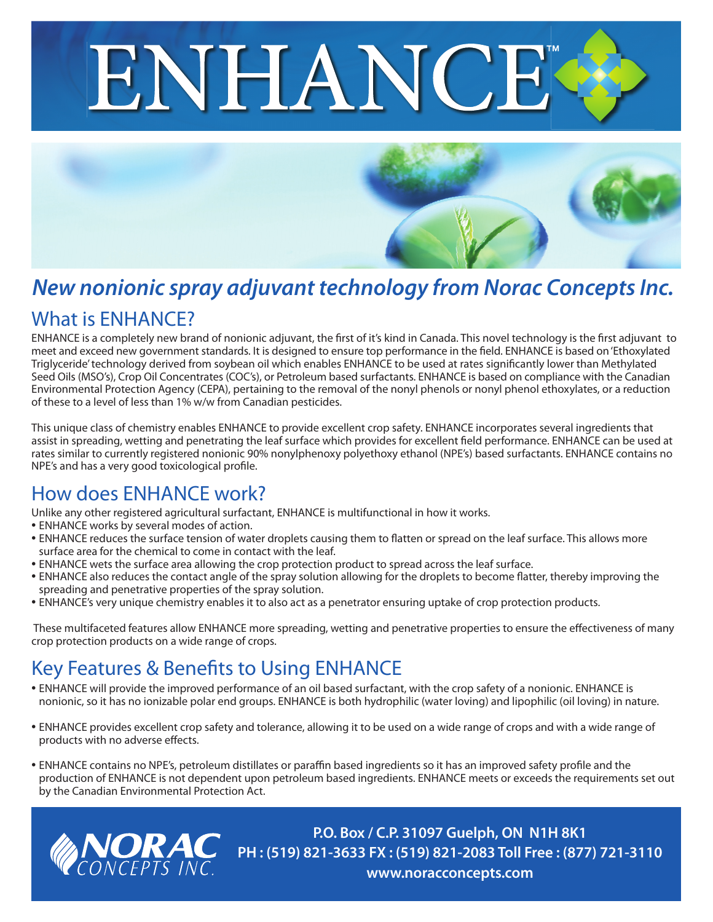



## What is ENHANCE? *New nonionic spray adjuvant technology from Norac Concepts Inc.*

ENHANCE is a completely new brand of nonionic adjuvant, the first of it's kind in Canada. This novel technology is the first adjuvant to meet and exceed new government standards. It is designed to ensure top performance in the field. ENHANCE is based on 'Ethoxylated Triglyceride' technology derived from soybean oil which enables ENHANCE to be used at rates significantly lower than Methylated Seed Oils (MSO's), Crop Oil Concentrates (COC's), or Petroleum based surfactants. ENHANCE is based on compliance with the Canadian Environmental Protection Agency (CEPA), pertaining to the removal of the nonyl phenols or nonyl phenol ethoxylates, or a reduction of these to a level of less than 1% w/w from Canadian pesticides.

This unique class of chemistry enables ENHANCE to provide excellent crop safety. ENHANCE incorporates several ingredients that assist in spreading, wetting and penetrating the leaf surface which provides for excellent field performance. ENHANCE can be used at rates similar to currently registered nonionic 90% nonylphenoxy polyethoxy ethanol (NPE's) based surfactants. ENHANCE contains no NPE's and has a very good toxicological profile.

## How does ENHANCE work?

Unlike any other registered agricultural surfactant, ENHANCE is multifunctional in how it works.

- ENHANCE works by several modes of action.
- ENHANCE reduces the surface tension of water droplets causing them to flatten or spread on the leaf surface. This allows more surface area for the chemical to come in contact with the leaf.
- ENHANCE wets the surface area allowing the crop protection product to spread across the leaf surface.
- ENHANCE also reduces the contact angle of the spray solution allowing for the droplets to become flatter, thereby improving the spreading and penetrative properties of the spray solution.
- ENHANCE's very unique chemistry enables it to also act as a penetrator ensuring uptake of crop protection products.

 These multifaceted features allow ENHANCE more spreading, wetting and penetrative properties to ensure the effectiveness of many crop protection products on a wide range of crops.

## Key Features & Benefits to Using ENHANCE

- ENHANCE will provide the improved performance of an oil based surfactant, with the crop safety of a nonionic. ENHANCE is nonionic, so it has no ionizable polar end groups. ENHANCE is both hydrophilic (water loving) and lipophilic (oil loving) in nature.
- ENHANCE provides excellent crop safety and tolerance, allowing it to be used on a wide range of crops and with a wide range of products with no adverse effects.
- ENHANCE contains no NPE's, petroleum distillates or paraffin based ingredients so it has an improved safety profile and the production of ENHANCE is not dependent upon petroleum based ingredients. ENHANCE meets or exceeds the requirements set out by the Canadian Environmental Protection Act.



**P.O. Box / C.P. 31097 Guelph, ON N1H 8K1 PH : (519) 821-3633 FX : (519) 821-2083 Toll Free : (877) 721-3110 www.noracconcepts.com**